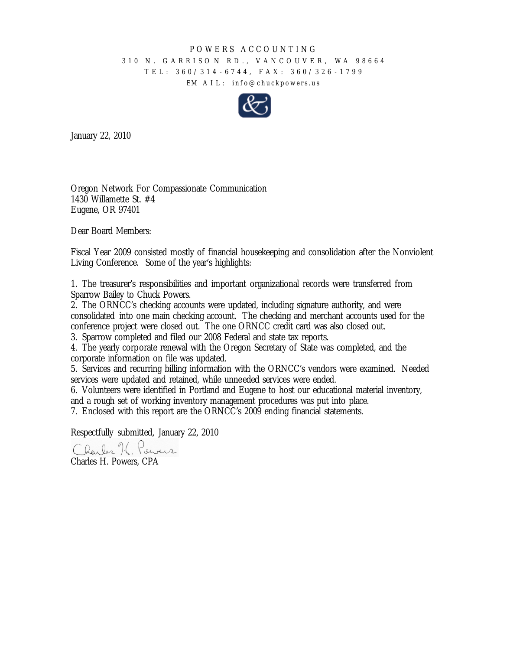#### POWERS ACCOUNTING

### 310 N. GARRISON RD., VANCOUVER, WA 98664 TEL: 360/314 - 6744, FAX: 360/326 - 1799 EM AIL: info@chuckpowers.us



January 22, 2010

Oregon Network For Compassionate Communication 1430 Willamette St. #4 Eugene, OR 97401

Dear Board Members:

Fiscal Year 2009 consisted mostly of financial housekeeping and consolidation after the Nonviolent Living Conference. Some of the year's highlights:

1. The treasurer's responsibilities and important organizational records were transferred from Sparrow Bailey to Chuck Powers.

2. The ORNCC's checking accounts were updated, including signature authority, and were consolidated into one main checking account. The checking and merchant accounts used for the conference project were closed out. The one ORNCC credit card was also closed out.

3. Sparrow completed and filed our 2008 Federal and state tax reports.

4. The yearly corporate renewal with the Oregon Secretary of State was completed, and the corporate information on file was updated.

5. Services and recurring billing information with the ORNCC's vendors were examined. Needed services were updated and retained, while unneeded services were ended.

6. Volunteers were identified in Portland and Eugene to host our educational material inventory, and a rough set of working inventory management procedures was put into place.

7. Enclosed with this report are the ORNCC's 2009 ending financial statements.

Respectfully submitted, January 22, 2010

Charles K. Pervers

Charles H. Powers, CPA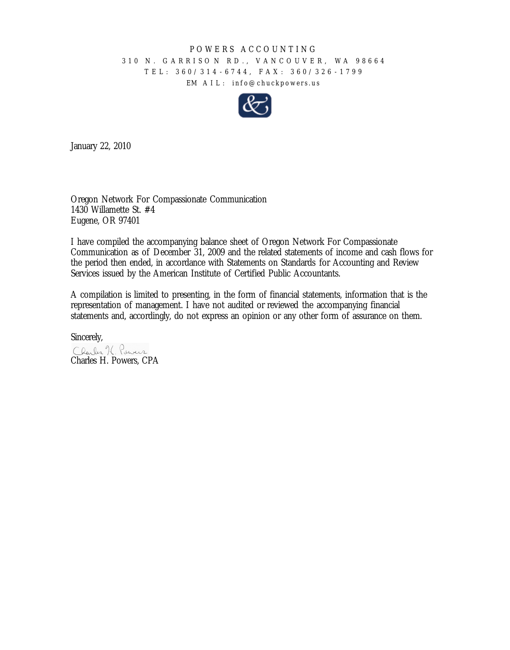#### POWERS ACCOUNTING

## 310 N. GARRISO N RD., VANCOUVER, W A 98664 TEL: 360/314 - 6744, FAX: 360/326 - 1799 EM AIL: info@chuckpowers.us



January 22, 2010

Oregon Network For Compassionate Communication 1430 Willamette St. #4 Eugene, OR 97401

I have compiled the accompanying balance sheet of Oregon Network For Compassionate Communication as of December 31, 2009 and the related statements of income and cash flows for the period then ended, in accordance with Statements on Standards for Accounting and Review Services issued by the American Institute of Certified Public Accountants.

A compilation is limited to presenting, in the form of financial statements, information that is the representation of management. I have not audited or reviewed the accompanying financial statements and, accordingly, do not express an opinion or any other form of assurance on them.

Sincerely,<br>Clarles K. Power Charles H. Powers, CPA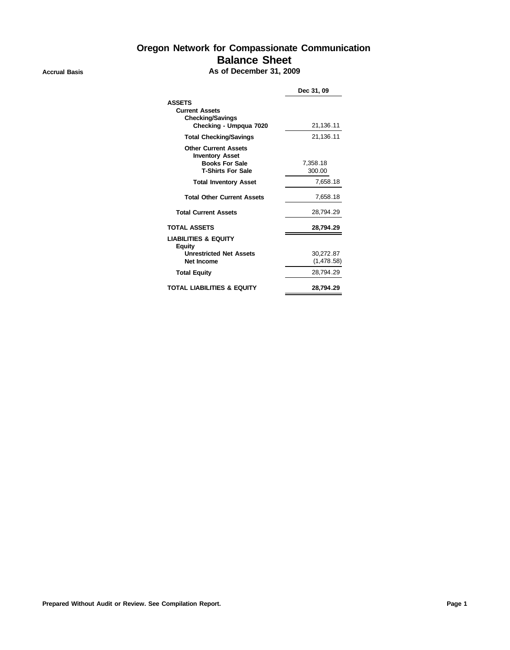# **Oregon Network for Compassionate Communication Balance Sheet**

### **Accrual Basis As of December 31, 2009**

|                                                                                                            | Dec 31, 09              |
|------------------------------------------------------------------------------------------------------------|-------------------------|
| <b>ASSETS</b><br><b>Current Assets</b><br><b>Checking/Savings</b><br>Checking - Umpgua 7020                | 21,136.11               |
| <b>Total Checking/Savings</b>                                                                              | 21,136.11               |
| <b>Other Current Assets</b><br><b>Inventory Asset</b><br><b>Books For Sale</b><br><b>T-Shirts For Sale</b> | 7.358.18<br>300.00      |
| <b>Total Inventory Asset</b>                                                                               | 7.658.18                |
| <b>Total Other Current Assets</b>                                                                          | 7,658.18                |
| <b>Total Current Assets</b>                                                                                | 28,794.29               |
| <b>TOTAL ASSETS</b>                                                                                        | 28,794.29               |
| <b>LIABILITIES &amp; EQUITY</b><br>Equity<br><b>Unrestricted Net Assets</b><br>Net Income                  | 30,272.87<br>(1,478.58) |
| <b>Total Equity</b>                                                                                        | 28.794.29               |
| <b>TOTAL LIABILITIES &amp; EQUITY</b>                                                                      | 28,794.29               |